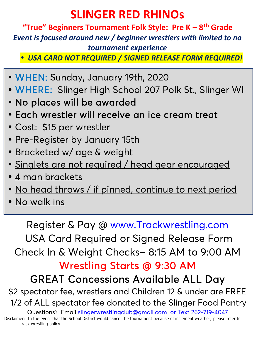## **SLINGER RED RHINOs**

**"True" Beginners Tournament Folk Style: Pre K – 8 Th Grade** *Event is focused around new / beginner wrestlers with limited to no tournament experience*

*USA CARD NOT REQUIRED / SIGNED RELEASE FORM REQUIRED!*

- **WHEN:** Sunday, January 19th, 2020
- **WHERE:** Slinger High School 207 Polk St., Slinger WI
- **No places will be awarded**
- **Each wrestler will receive an ice cream treat**
- Cost: \$15 per wrestler
- Pre-Register by January 15th
- · Bracketed w/ age & weight
- Singlets are not required / head gear encouraged
- 4 man brackets
- . No head throws / if pinned, continue to next period
- No walk ins

## Register & Pay @ www.Trackwrestling.com

USA Card Required or Signed Release Form Check In & Weight Checks– 8:15 AM to 9:00 AM

**Wrestling Starts @ 9:30 AM**

## **GREAT Concessions Available ALL Day**

\$2 spectator fee, wrestlers and Children 12 & under are FREE 1/2 of ALL spectator fee donated to the Slinger Food Pantry

Questions? Email slingerwrestlingclub@gmail.com or Text 262-719-4047

Disclaimer: In the event that the School District would cancel the tournament because of inclement weather, please refer to track wrestling policy